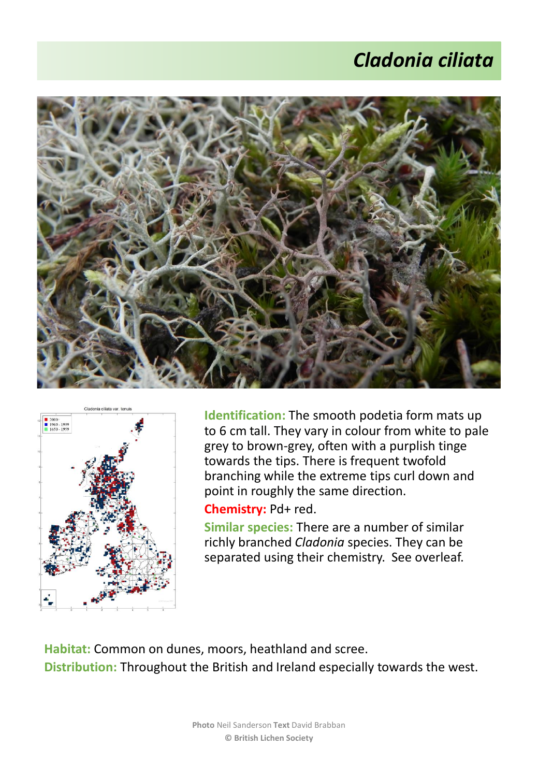## *Cladonia ciliata*





**Identification:** The smooth podetia form mats up to 6 cm tall. They vary in colour from white to pale grey to brown-grey, often with a purplish tinge towards the tips. There is frequent twofold branching while the extreme tips curl down and point in roughly the same direction.

## **Chemistry:** Pd+ red.

**Similar species:** There are a number of similar richly branched *Cladonia* species. They can be separated using their chemistry. See overleaf.

**Habitat:** Common on dunes, moors, heathland and scree. **Distribution:** Throughout the British and Ireland especially towards the west.